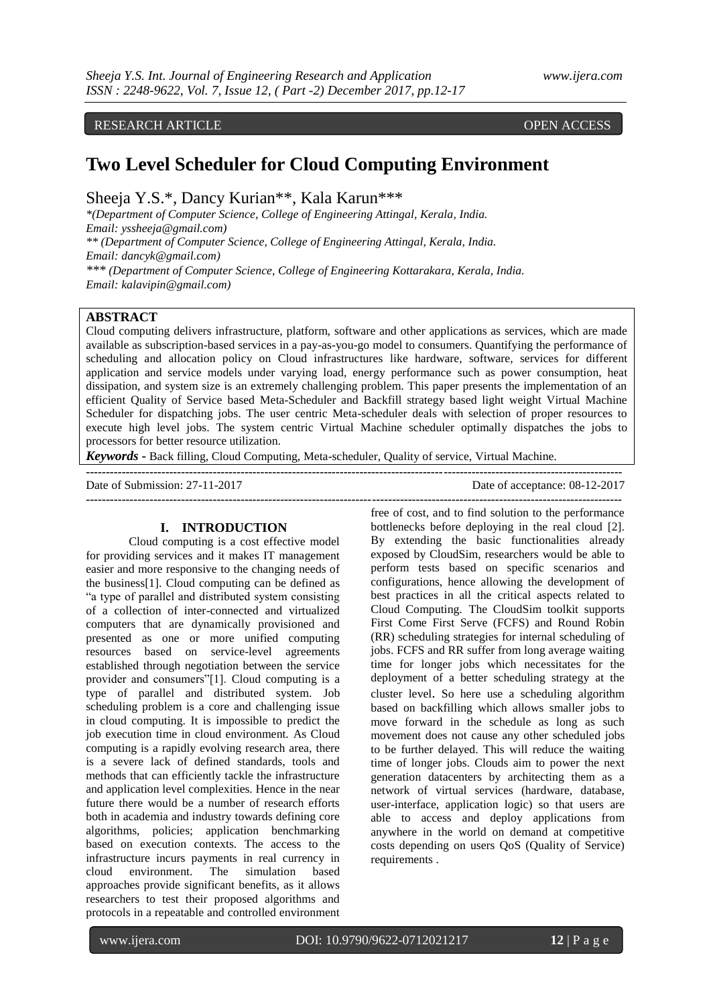RESEARCH ARTICLE **CONTRACT ARTICLE** 

# **Two Level Scheduler for Cloud Computing Environment**

Sheeja Y.S.\*, Dancy Kurian\*\*, Kala Karun\*\*\*

*\*(Department of Computer Science, College of Engineering Attingal, Kerala, India. Email: yssheeja@gmail.com) \*\* (Department of Computer Science, College of Engineering Attingal, Kerala, India. Email: dancyk@gmail.com)*

*\*\*\* (Department of Computer Science, College of Engineering Kottarakara, Kerala, India. Email: kalavipin@gmail.com)*

# **ABSTRACT**

Cloud computing delivers infrastructure, platform, software and other applications as services, which are made available as subscription-based services in a pay-as-you-go model to consumers. Quantifying the performance of scheduling and allocation policy on Cloud infrastructures like hardware, software, services for different application and service models under varying load, energy performance such as power consumption, heat dissipation, and system size is an extremely challenging problem. This paper presents the implementation of an efficient Quality of Service based Meta-Scheduler and Backfill strategy based light weight Virtual Machine Scheduler for dispatching jobs. The user centric Meta-scheduler deals with selection of proper resources to execute high level jobs. The system centric Virtual Machine scheduler optimally dispatches the jobs to processors for better resource utilization.

**---------------------------------------------------------------------------------------------------------------------------------------**

*Keywords* **-** Back filling, Cloud Computing, Meta-scheduler, Quality of service, Virtual Machine.

**---------------------------------------------------------------------------------------------------------------------------------------**

Date of Submission: 27-11-2017 Date of acceptance: 08-12-2017

# **I. INTRODUCTION**

Cloud computing is a cost effective model for providing services and it makes IT management easier and more responsive to the changing needs of the business[1]. Cloud computing can be defined as "a type of parallel and distributed system consisting of a collection of inter-connected and virtualized computers that are dynamically provisioned and presented as one or more unified computing resources based on service-level agreements established through negotiation between the service provider and consumers"[1]. Cloud computing is a type of parallel and distributed system. Job scheduling problem is a core and challenging issue in cloud computing. It is impossible to predict the job execution time in cloud environment. As Cloud computing is a rapidly evolving research area, there is a severe lack of defined standards, tools and methods that can efficiently tackle the infrastructure and application level complexities. Hence in the near future there would be a number of research efforts both in academia and industry towards defining core algorithms, policies; application benchmarking based on execution contexts. The access to the infrastructure incurs payments in real currency in cloud environment. The simulation based approaches provide significant benefits, as it allows researchers to test their proposed algorithms and protocols in a repeatable and controlled environment

free of cost, and to find solution to the performance bottlenecks before deploying in the real cloud [2]. By extending the basic functionalities already exposed by CloudSim, researchers would be able to perform tests based on specific scenarios and configurations, hence allowing the development of best practices in all the critical aspects related to Cloud Computing. The CloudSim toolkit supports First Come First Serve (FCFS) and Round Robin (RR) scheduling strategies for internal scheduling of jobs. FCFS and RR suffer from long average waiting time for longer jobs which necessitates for the deployment of a better scheduling strategy at the cluster level. So here use a scheduling algorithm based on backfilling which allows smaller jobs to move forward in the schedule as long as such movement does not cause any other scheduled jobs to be further delayed. This will reduce the waiting time of longer jobs. Clouds aim to power the next generation datacenters by architecting them as a network of virtual services (hardware, database, user-interface, application logic) so that users are able to access and deploy applications from anywhere in the world on demand at competitive costs depending on users QoS (Quality of Service) requirements .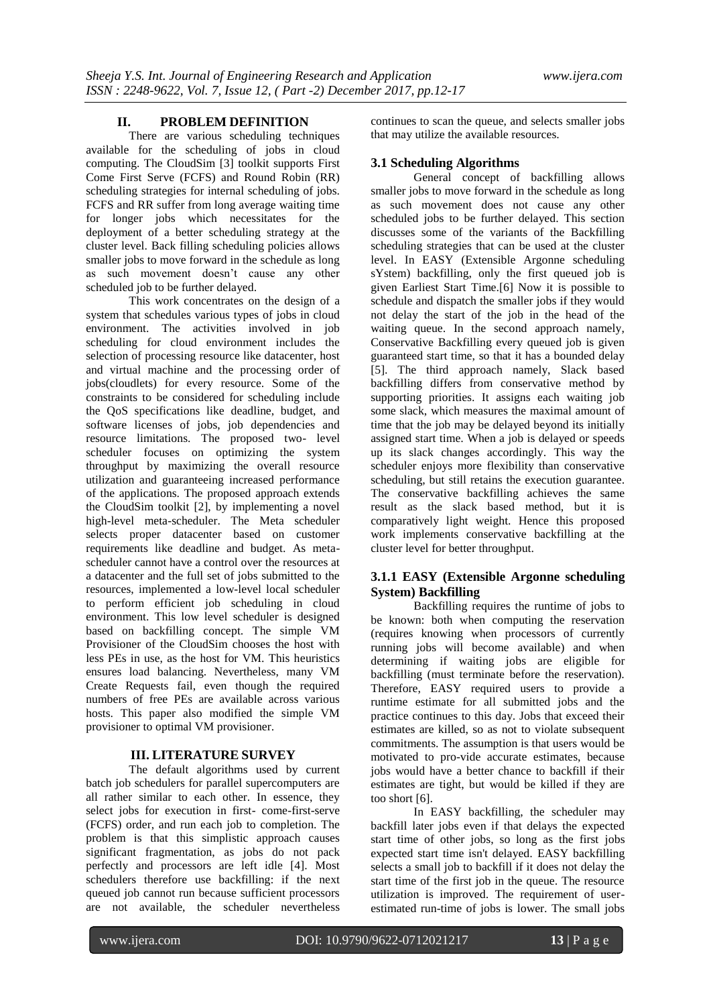# **II. PROBLEM DEFINITION**

There are various scheduling techniques available for the scheduling of jobs in cloud computing. The CloudSim [3] toolkit supports First Come First Serve (FCFS) and Round Robin (RR) scheduling strategies for internal scheduling of jobs. FCFS and RR suffer from long average waiting time for longer jobs which necessitates for the deployment of a better scheduling strategy at the cluster level. Back filling scheduling policies allows smaller jobs to move forward in the schedule as long as such movement doesn't cause any other scheduled job to be further delayed.

This work concentrates on the design of a system that schedules various types of jobs in cloud environment. The activities involved in job scheduling for cloud environment includes the selection of processing resource like datacenter, host and virtual machine and the processing order of jobs(cloudlets) for every resource. Some of the constraints to be considered for scheduling include the QoS specifications like deadline, budget, and software licenses of jobs, job dependencies and resource limitations. The proposed two- level scheduler focuses on optimizing the system throughput by maximizing the overall resource utilization and guaranteeing increased performance of the applications. The proposed approach extends the CloudSim toolkit [2], by implementing a novel high-level meta-scheduler. The Meta scheduler selects proper datacenter based on customer requirements like deadline and budget. As metascheduler cannot have a control over the resources at a datacenter and the full set of jobs submitted to the resources, implemented a low-level local scheduler to perform efficient job scheduling in cloud environment. This low level scheduler is designed based on backfilling concept. The simple VM Provisioner of the CloudSim chooses the host with less PEs in use, as the host for VM. This heuristics ensures load balancing. Nevertheless, many VM Create Requests fail, even though the required numbers of free PEs are available across various hosts. This paper also modified the simple VM provisioner to optimal VM provisioner.

## **III. LITERATURE SURVEY**

The default algorithms used by current batch job schedulers for parallel supercomputers are all rather similar to each other. In essence, they select jobs for execution in first- come-first-serve (FCFS) order, and run each job to completion. The problem is that this simplistic approach causes significant fragmentation, as jobs do not pack perfectly and processors are left idle [4]. Most schedulers therefore use backfilling: if the next queued job cannot run because sufficient processors are not available, the scheduler nevertheless

continues to scan the queue, and selects smaller jobs that may utilize the available resources.

# **3.1 Scheduling Algorithms**

General concept of backfilling allows smaller jobs to move forward in the schedule as long as such movement does not cause any other scheduled jobs to be further delayed. This section discusses some of the variants of the Backfilling scheduling strategies that can be used at the cluster level. In EASY (Extensible Argonne scheduling sYstem) backfilling, only the first queued job is given Earliest Start Time.[6] Now it is possible to schedule and dispatch the smaller jobs if they would not delay the start of the job in the head of the waiting queue. In the second approach namely, Conservative Backfilling every queued job is given guaranteed start time, so that it has a bounded delay [5]. The third approach namely, Slack based backfilling differs from conservative method by supporting priorities. It assigns each waiting job some slack, which measures the maximal amount of time that the job may be delayed beyond its initially assigned start time. When a job is delayed or speeds up its slack changes accordingly. This way the scheduler enjoys more flexibility than conservative scheduling, but still retains the execution guarantee. The conservative backfilling achieves the same result as the slack based method, but it is comparatively light weight. Hence this proposed work implements conservative backfilling at the cluster level for better throughput.

# **3.1.1 EASY (Extensible Argonne scheduling System) Backfilling**

Backfilling requires the runtime of jobs to be known: both when computing the reservation (requires knowing when processors of currently running jobs will become available) and when determining if waiting jobs are eligible for backfilling (must terminate before the reservation). Therefore, EASY required users to provide a runtime estimate for all submitted jobs and the practice continues to this day. Jobs that exceed their estimates are killed, so as not to violate subsequent commitments. The assumption is that users would be motivated to pro-vide accurate estimates, because jobs would have a better chance to backfill if their estimates are tight, but would be killed if they are too short [6].

In EASY backfilling, the scheduler may [backfill](https://code.google.com/p/pyss/wiki/Backfilling) later jobs even if that delays the expected start time of other jobs, so long as the first jobs expected start time isn't delayed. EASY backfilling selects a small job to backfill if it does not delay the start time of the first job in the queue. The resource utilization is improved. The requirement of userestimated run-time of jobs is lower. The small jobs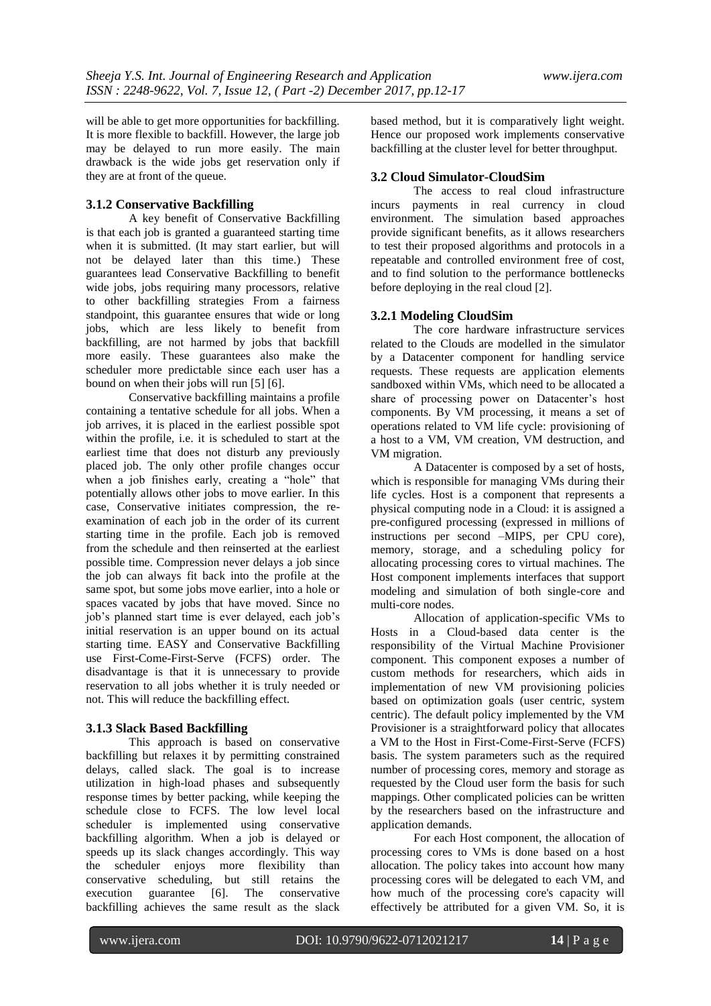will be able to get more opportunities for backfilling. It is more flexible to backfill. However, the large job may be delayed to run more easily. The main drawback is the wide jobs get reservation only if they are at front of the queue.

# **3.1.2 Conservative Backfilling**

A key benefit of Conservative Backfilling is that each job is granted a guaranteed starting time when it is submitted. (It may start earlier, but will not be delayed later than this time.) These guarantees lead Conservative Backfilling to benefit wide jobs, jobs requiring many processors, relative to other backfilling strategies From a fairness standpoint, this guarantee ensures that wide or long jobs, which are less likely to benefit from backfilling, are not harmed by jobs that backfill more easily. These guarantees also make the scheduler more predictable since each user has a bound on when their jobs will run [5] [6].

Conservative backfilling maintains a profile containing a tentative schedule for all jobs. When a job arrives, it is placed in the earliest possible spot within the profile, i.e. it is scheduled to start at the earliest time that does not disturb any previously placed job. The only other profile changes occur when a job finishes early, creating a "hole" that potentially allows other jobs to move earlier. In this case, Conservative initiates compression, the reexamination of each job in the order of its current starting time in the profile. Each job is removed from the schedule and then reinserted at the earliest possible time. Compression never delays a job since the job can always fit back into the profile at the same spot, but some jobs move earlier, into a hole or spaces vacated by jobs that have moved. Since no job's planned start time is ever delayed, each job's initial reservation is an upper bound on its actual starting time. EASY and Conservative Backfilling use First-Come-First-Serve (FCFS) order. The disadvantage is that it is unnecessary to provide reservation to all jobs whether it is truly needed or not. This will reduce the backfilling effect.

# **3.1.3 Slack Based Backfilling**

This approach is based on conservative backfilling but relaxes it by permitting constrained delays, called slack. The goal is to increase utilization in high-load phases and subsequently response times by better packing, while keeping the schedule close to FCFS. The low level local scheduler is implemented using conservative backfilling algorithm. When a job is delayed or speeds up its slack changes accordingly. This way the scheduler enjoys more flexibility than conservative scheduling, but still retains the execution guarantee [6]. The conservative backfilling achieves the same result as the slack

based method, but it is comparatively light weight. Hence our proposed work implements conservative backfilling at the cluster level for better throughput.

# **3.2 Cloud Simulator-CloudSim**

The access to real cloud infrastructure incurs payments in real currency in cloud environment. The simulation based approaches provide significant benefits, as it allows researchers to test their proposed algorithms and protocols in a repeatable and controlled environment free of cost, and to find solution to the performance bottlenecks before deploying in the real cloud [2].

# **3.2.1 Modeling CloudSim**

The core hardware infrastructure services related to the Clouds are modelled in the simulator by a Datacenter component for handling service requests. These requests are application elements sandboxed within VMs, which need to be allocated a share of processing power on Datacenter's host components. By VM processing, it means a set of operations related to VM life cycle: provisioning of a host to a VM, VM creation, VM destruction, and VM migration.

A Datacenter is composed by a set of hosts, which is responsible for managing VMs during their life cycles. Host is a component that represents a physical computing node in a Cloud: it is assigned a pre-configured processing (expressed in millions of instructions per second –MIPS, per CPU core), memory, storage, and a scheduling policy for allocating processing cores to virtual machines. The Host component implements interfaces that support modeling and simulation of both single-core and multi-core nodes.

Allocation of application-specific VMs to Hosts in a Cloud-based data center is the responsibility of the Virtual Machine Provisioner component. This component exposes a number of custom methods for researchers, which aids in implementation of new VM provisioning policies based on optimization goals (user centric, system centric). The default policy implemented by the VM Provisioner is a straightforward policy that allocates a VM to the Host in First-Come-First-Serve (FCFS) basis. The system parameters such as the required number of processing cores, memory and storage as requested by the Cloud user form the basis for such mappings. Other complicated policies can be written by the researchers based on the infrastructure and application demands.

For each Host component, the allocation of processing cores to VMs is done based on a host allocation. The policy takes into account how many processing cores will be delegated to each VM, and how much of the processing core's capacity will effectively be attributed for a given VM. So, it is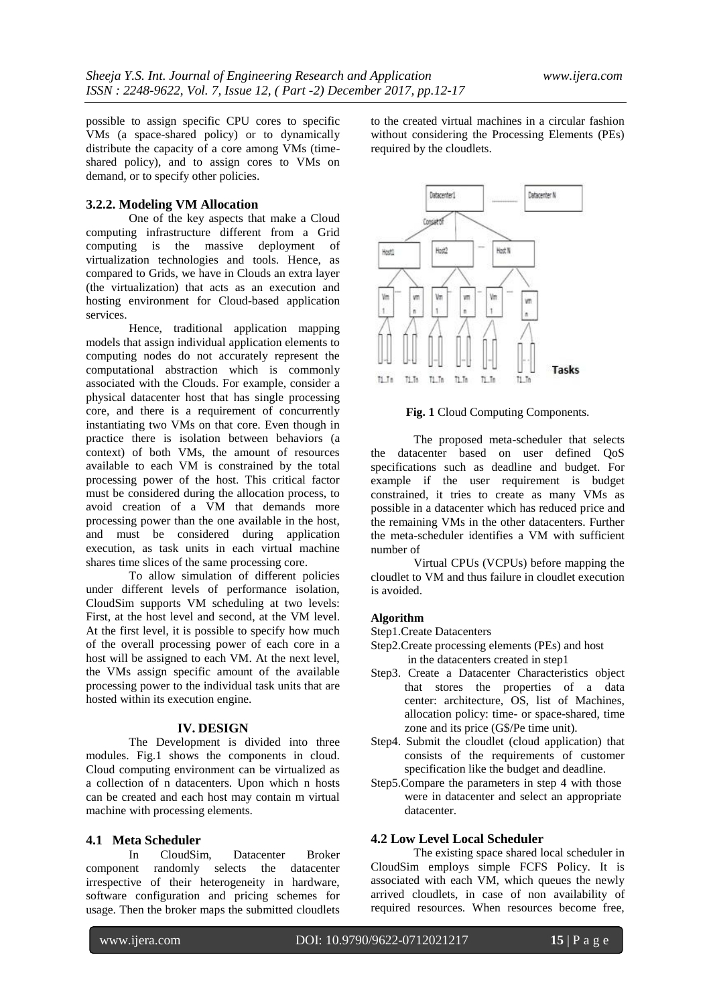possible to assign specific CPU cores to specific VMs (a space-shared policy) or to dynamically distribute the capacity of a core among VMs (timeshared policy), and to assign cores to VMs on demand, or to specify other policies.

# **3.2.2. Modeling VM Allocation**

One of the key aspects that make a Cloud computing infrastructure different from a Grid computing is the massive deployment of virtualization technologies and tools. Hence, as compared to Grids, we have in Clouds an extra layer (the virtualization) that acts as an execution and hosting environment for Cloud-based application services.

Hence, traditional application mapping models that assign individual application elements to computing nodes do not accurately represent the computational abstraction which is commonly associated with the Clouds. For example, consider a physical datacenter host that has single processing core, and there is a requirement of concurrently instantiating two VMs on that core. Even though in practice there is isolation between behaviors (a context) of both VMs, the amount of resources available to each VM is constrained by the total processing power of the host. This critical factor must be considered during the allocation process, to avoid creation of a VM that demands more processing power than the one available in the host, and must be considered during application execution, as task units in each virtual machine shares time slices of the same processing core.

To allow simulation of different policies under different levels of performance isolation, CloudSim supports VM scheduling at two levels: First, at the host level and second, at the VM level. At the first level, it is possible to specify how much of the overall processing power of each core in a host will be assigned to each VM. At the next level, the VMs assign specific amount of the available processing power to the individual task units that are hosted within its execution engine.

#### **IV. DESIGN**

The Development is divided into three modules. Fig.1 shows the components in cloud. Cloud computing environment can be virtualized as a collection of n datacenters. Upon which n hosts can be created and each host may contain m virtual machine with processing elements.

# **4.1 Meta Scheduler**

In CloudSim, Datacenter Broker component randomly selects the datacenter irrespective of their heterogeneity in hardware, software configuration and pricing schemes for usage. Then the broker maps the submitted cloudlets

to the created virtual machines in a circular fashion without considering the Processing Elements (PEs) required by the cloudlets.



**Fig. 1** Cloud Computing Components.

The proposed meta-scheduler that selects the datacenter based on user defined QoS specifications such as deadline and budget. For example if the user requirement is budget constrained, it tries to create as many VMs as possible in a datacenter which has reduced price and the remaining VMs in the other datacenters. Further the meta-scheduler identifies a VM with sufficient number of

Virtual CPUs (VCPUs) before mapping the cloudlet to VM and thus failure in cloudlet execution is avoided.

### **Algorithm**

- Step1.Create Datacenters
- Step2.Create processing elements (PEs) and host in the datacenters created in step1
- Step3. Create a Datacenter Characteristics object that stores the properties of a data center: architecture, OS, list of Machines, allocation policy: time- or space-shared, time zone and its price (G\$/Pe time unit).
- Step4. Submit the cloudlet (cloud application) that consists of the requirements of customer specification like the budget and deadline.
- Step5.Compare the parameters in step 4 with those were in datacenter and select an appropriate datacenter.

# **4.2 Low Level Local Scheduler**

The existing space shared local scheduler in CloudSim employs simple FCFS Policy. It is associated with each VM, which queues the newly arrived cloudlets, in case of non availability of required resources. When resources become free,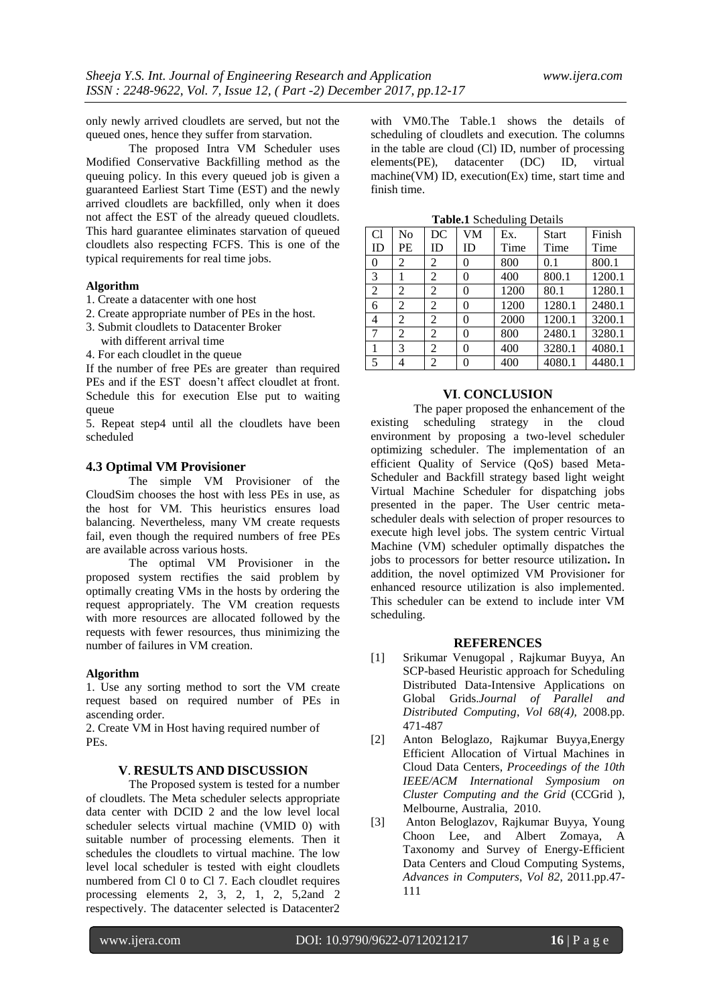only newly arrived cloudlets are served, but not the queued ones, hence they suffer from starvation.

The proposed Intra VM Scheduler uses Modified Conservative Backfilling method as the queuing policy. In this every queued job is given a guaranteed Earliest Start Time (EST) and the newly arrived cloudlets are backfilled, only when it does not affect the EST of the already queued cloudlets. This hard guarantee eliminates starvation of queued cloudlets also respecting FCFS. This is one of the typical requirements for real time jobs.

# **Algorithm**

- 1. Create a datacenter with one host
- 2. Create appropriate number of PEs in the host.
- 3. Submit cloudlets to Datacenter Broker
- with different arrival time
- 4. For each cloudlet in the queue

If the number of free PEs are greater than required PEs and if the EST doesn't affect cloudlet at front. Schedule this for execution Else put to waiting queue

5. Repeat step4 until all the cloudlets have been scheduled

### **4.3 Optimal VM Provisioner**

The simple VM Provisioner of the CloudSim chooses the host with less PEs in use, as the host for VM. This heuristics ensures load balancing. Nevertheless, many VM create requests fail, even though the required numbers of free PEs are available across various hosts.

The optimal VM Provisioner in the proposed system rectifies the said problem by optimally creating VMs in the hosts by ordering the request appropriately. The VM creation requests with more resources are allocated followed by the requests with fewer resources, thus minimizing the number of failures in VM creation.

#### **Algorithm**

1. Use any sorting method to sort the VM create request based on required number of PEs in ascending order.

2. Create VM in Host having required number of PEs.

## **V**. **RESULTS AND DISCUSSION**

The Proposed system is tested for a number of cloudlets. The Meta scheduler selects appropriate data center with DCID 2 and the low level local scheduler selects virtual machine (VMID 0) with suitable number of processing elements. Then it schedules the cloudlets to virtual machine. The low level local scheduler is tested with eight cloudlets numbered from Cl 0 to Cl 7. Each cloudlet requires processing elements 2, 3, 2, 1, 2, 5,2and 2 respectively. The datacenter selected is Datacenter2 with VM0.The Table.1 shows the details of scheduling of cloudlets and execution. The columns in the table are cloud (Cl) ID, number of processing elements(PE), datacenter (DC) ID, virtual machine(VM) ID, execution(Ex) time, start time and finish time.

| <b>rapic.</b> Deficiently Details |    |                |                |      |              |        |
|-----------------------------------|----|----------------|----------------|------|--------------|--------|
| C <sub>1</sub>                    | No | DC             | VM             | Ex.  | <b>Start</b> | Finish |
| ID                                | PE | ID             | ID             | Time | Time         | Time   |
| $\overline{0}$                    | 2  | 2              | 0              | 800  | 0.1          | 800.1  |
| 3                                 |    | 2              | $\overline{0}$ | 400  | 800.1        | 1200.1 |
| $\overline{2}$                    | 2  | 2              | 0              | 1200 | 80.1         | 1280.1 |
| 6                                 | 2  | 2              | 0              | 1200 | 1280.1       | 2480.1 |
| 4                                 | 2  | $\overline{2}$ | 0              | 2000 | 1200.1       | 3200.1 |
| 7                                 | 2  | 2              | 0              | 800  | 2480.1       | 3280.1 |
| 1                                 | 3  | 2              | 0              | 400  | 3280.1       | 4080.1 |
| 5                                 | 4  | 2              | 0              | 400  | 4080.1       | 4480.1 |

**Table.1** Scheduling Details

### **VI**. **CONCLUSION**

The paper proposed the enhancement of the existing scheduling strategy in the cloud environment by proposing a two-level scheduler optimizing scheduler. The implementation of an efficient Quality of Service (QoS) based Meta-Scheduler and Backfill strategy based light weight Virtual Machine Scheduler for dispatching jobs presented in the paper. The User centric metascheduler deals with selection of proper resources to execute high level jobs. The system centric Virtual Machine (VM) scheduler optimally dispatches the jobs to processors for better resource utilization**.** In addition, the novel optimized VM Provisioner for enhanced resource utilization is also implemented. This scheduler can be extend to include inter VM scheduling.

#### **REFERENCES**

- [1] Srikumar Venugopal , Rajkumar Buyya, [An](http://www.cloudbus.org/papers/datagrid_scheduling_jpdc2008.pdf)  [SCP-based Heuristic approach for Scheduling](http://www.cloudbus.org/papers/datagrid_scheduling_jpdc2008.pdf)  [Distributed Data-Intensive Applications on](http://www.cloudbus.org/papers/datagrid_scheduling_jpdc2008.pdf)  [Global Grids.](http://www.cloudbus.org/papers/datagrid_scheduling_jpdc2008.pdf)*Journal of Parallel and Distributed Computing*, *Vol 68(4),* 2008.pp. 471-487
- [2] Anton Beloglazo, Rajkumar Buyy[a,Energy](http://www.cloudbus.org/papers/EnergyEfficientVMAllocation-CCGrid2010.pdf)  [Efficient Allocation of Virtual Machines in](http://www.cloudbus.org/papers/EnergyEfficientVMAllocation-CCGrid2010.pdf)  [Cloud Data Centers,](http://www.cloudbus.org/papers/EnergyEfficientVMAllocation-CCGrid2010.pdf) *Proceedings of the 10th IEEE/ACM International Symposium on Cluster Computing and the Grid* (CCGrid ), Melbourne, Australia, 2010.
- [3] Anton Beloglazov, Rajkumar Buyya, Young Choon Lee, and Albert Zomaya, [A](http://www.cloudbus.org/papers/GreenCloudTaxonomy2011.pdf)  [Taxonomy and Survey of Energy-Efficient](http://www.cloudbus.org/papers/GreenCloudTaxonomy2011.pdf)  [Data Centers and Cloud Computing Systems,](http://www.cloudbus.org/papers/GreenCloudTaxonomy2011.pdf) *Advances in Computers*, *Vol 82*, 2011.pp.47- 111